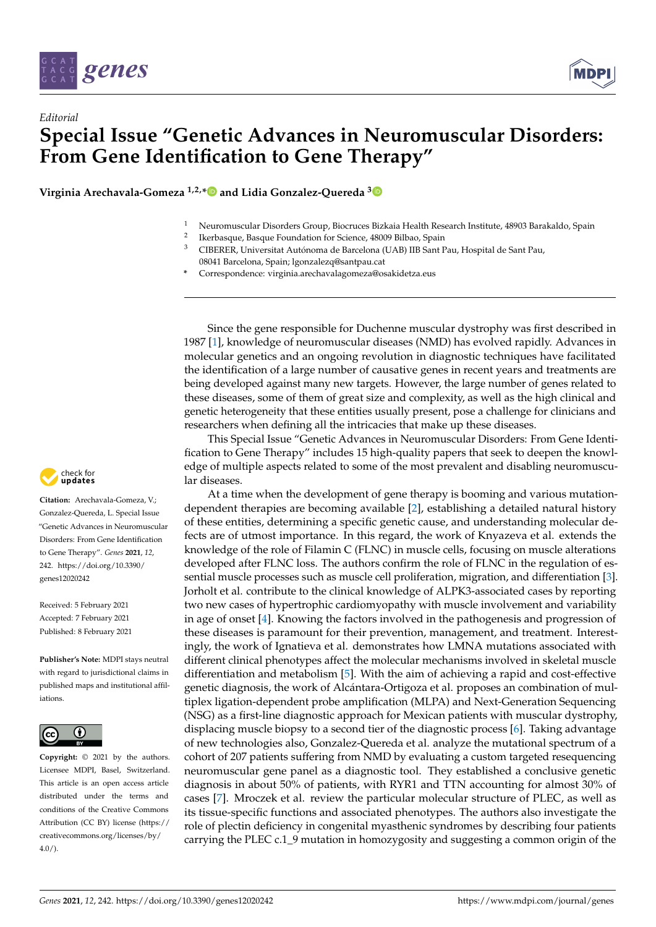



**Virginia Arechavala-Gomeza 1,2,[\\*](https://orcid.org/0000-0001-7703-3255) and Lidia Gonzalez-Quereda [3](https://orcid.org/0000-0003-0715-6414)**

- <sup>1</sup> Neuromuscular Disorders Group, Biocruces Bizkaia Health Research Institute, 48903 Barakaldo, Spain 2
- Ikerbasque, Basque Foundation for Science, 48009 Bilbao, Spain
- <sup>3</sup> CIBERER, Universitat Autónoma de Barcelona (UAB) IIB Sant Pau, Hospital de Sant Pau, 08041 Barcelona, Spain; lgonzalezq@santpau.cat
- **\*** Correspondence: virginia.arechavalagomeza@osakidetza.eus

Since the gene responsible for Duchenne muscular dystrophy was first described in 1987 [\[1\]](#page-2-0), knowledge of neuromuscular diseases (NMD) has evolved rapidly. Advances in molecular genetics and an ongoing revolution in diagnostic techniques have facilitated the identification of a large number of causative genes in recent years and treatments are being developed against many new targets. However, the large number of genes related to these diseases, some of them of great size and complexity, as well as the high clinical and genetic heterogeneity that these entities usually present, pose a challenge for clinicians and researchers when defining all the intricacies that make up these diseases.

This Special Issue "Genetic Advances in Neuromuscular Disorders: From Gene Identification to Gene Therapy" includes 15 high-quality papers that seek to deepen the knowledge of multiple aspects related to some of the most prevalent and disabling neuromuscular diseases.

At a time when the development of gene therapy is booming and various mutationdependent therapies are becoming available [\[2\]](#page-2-1), establishing a detailed natural history of these entities, determining a specific genetic cause, and understanding molecular defects are of utmost importance. In this regard, the work of Knyazeva et al. extends the knowledge of the role of Filamin C (FLNC) in muscle cells, focusing on muscle alterations developed after FLNC loss. The authors confirm the role of FLNC in the regulation of essential muscle processes such as muscle cell proliferation, migration, and differentiation [\[3\]](#page-2-2). Jorholt et al. contribute to the clinical knowledge of ALPK3-associated cases by reporting two new cases of hypertrophic cardiomyopathy with muscle involvement and variability in age of onset [\[4\]](#page-2-3). Knowing the factors involved in the pathogenesis and progression of these diseases is paramount for their prevention, management, and treatment. Interestingly, the work of Ignatieva et al. demonstrates how LMNA mutations associated with different clinical phenotypes affect the molecular mechanisms involved in skeletal muscle differentiation and metabolism [\[5\]](#page-2-4). With the aim of achieving a rapid and cost-effective genetic diagnosis, the work of Alcántara-Ortigoza et al. proposes an combination of multiplex ligation-dependent probe amplification (MLPA) and Next-Generation Sequencing (NSG) as a first-line diagnostic approach for Mexican patients with muscular dystrophy, displacing muscle biopsy to a second tier of the diagnostic process [\[6\]](#page-2-5). Taking advantage of new technologies also, Gonzalez-Quereda et al. analyze the mutational spectrum of a cohort of 207 patients suffering from NMD by evaluating a custom targeted resequencing neuromuscular gene panel as a diagnostic tool. They established a conclusive genetic diagnosis in about 50% of patients, with RYR1 and TTN accounting for almost 30% of cases [\[7\]](#page-2-6). Mroczek et al. review the particular molecular structure of PLEC, as well as its tissue-specific functions and associated phenotypes. The authors also investigate the role of plectin deficiency in congenital myasthenic syndromes by describing four patients carrying the PLEC c.1\_9 mutation in homozygosity and suggesting a common origin of the



**Citation:** Arechavala-Gomeza, V.; Gonzalez-Quereda, L. Special Issue "Genetic Advances in Neuromuscular Disorders: From Gene Identification to Gene Therapy". *Genes* **2021**, *12*, 242. [https://doi.org/10.3390/](https://doi.org/10.3390/genes12020242) [genes12020242](https://doi.org/10.3390/genes12020242)

Received: 5 February 2021 Accepted: 7 February 2021 Published: 8 February 2021

**Publisher's Note:** MDPI stays neutral with regard to jurisdictional claims in published maps and institutional affiliations.



**Copyright:** © 2021 by the authors. Licensee MDPI, Basel, Switzerland. This article is an open access article distributed under the terms and conditions of the Creative Commons Attribution (CC BY) license (https:/[/](https://creativecommons.org/licenses/by/4.0/) [creativecommons.org/licenses/by/](https://creativecommons.org/licenses/by/4.0/)  $4.0/$ ).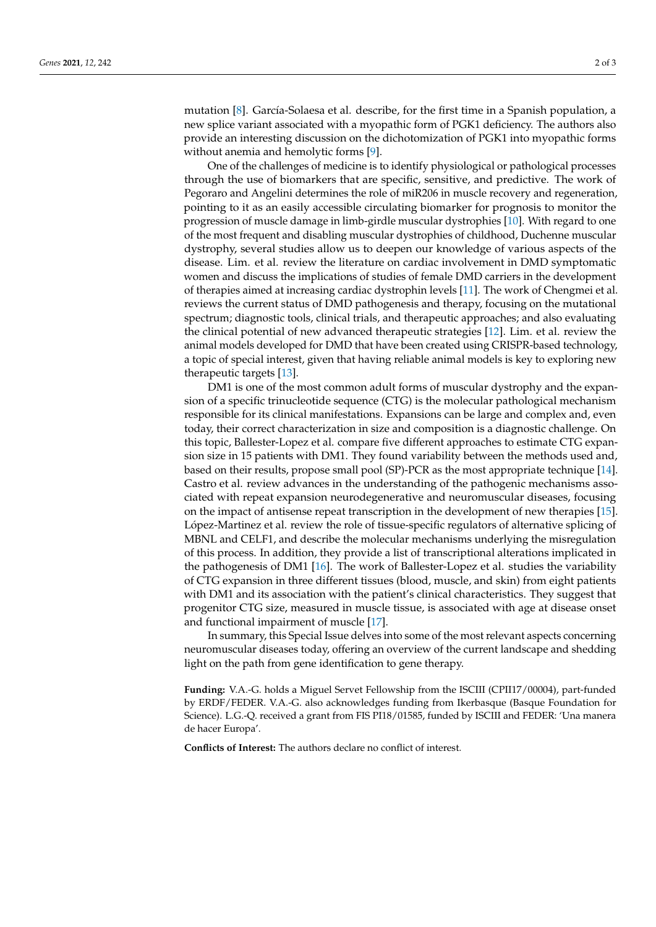mutation [\[8\]](#page-2-7). García-Solaesa et al. describe, for the first time in a Spanish population, a new splice variant associated with a myopathic form of PGK1 deficiency. The authors also provide an interesting discussion on the dichotomization of PGK1 into myopathic forms without anemia and hemolytic forms [\[9\]](#page-2-8).

One of the challenges of medicine is to identify physiological or pathological processes through the use of biomarkers that are specific, sensitive, and predictive. The work of Pegoraro and Angelini determines the role of miR206 in muscle recovery and regeneration, pointing to it as an easily accessible circulating biomarker for prognosis to monitor the progression of muscle damage in limb-girdle muscular dystrophies [\[10\]](#page-2-9). With regard to one of the most frequent and disabling muscular dystrophies of childhood, Duchenne muscular dystrophy, several studies allow us to deepen our knowledge of various aspects of the disease. Lim. et al. review the literature on cardiac involvement in DMD symptomatic women and discuss the implications of studies of female DMD carriers in the development of therapies aimed at increasing cardiac dystrophin levels [\[11\]](#page-2-10). The work of Chengmei et al. reviews the current status of DMD pathogenesis and therapy, focusing on the mutational spectrum; diagnostic tools, clinical trials, and therapeutic approaches; and also evaluating the clinical potential of new advanced therapeutic strategies [\[12\]](#page-2-11). Lim. et al. review the animal models developed for DMD that have been created using CRISPR-based technology, a topic of special interest, given that having reliable animal models is key to exploring new therapeutic targets [\[13\]](#page-2-12).

DM1 is one of the most common adult forms of muscular dystrophy and the expansion of a specific trinucleotide sequence (CTG) is the molecular pathological mechanism responsible for its clinical manifestations. Expansions can be large and complex and, even today, their correct characterization in size and composition is a diagnostic challenge. On this topic, Ballester-Lopez et al. compare five different approaches to estimate CTG expansion size in 15 patients with DM1. They found variability between the methods used and, based on their results, propose small pool (SP)-PCR as the most appropriate technique [\[14\]](#page-2-13). Castro et al. review advances in the understanding of the pathogenic mechanisms associated with repeat expansion neurodegenerative and neuromuscular diseases, focusing on the impact of antisense repeat transcription in the development of new therapies [\[15\]](#page-2-14). López-Martinez et al. review the role of tissue-specific regulators of alternative splicing of MBNL and CELF1, and describe the molecular mechanisms underlying the misregulation of this process. In addition, they provide a list of transcriptional alterations implicated in the pathogenesis of DM1 [\[16\]](#page-2-15). The work of Ballester-Lopez et al. studies the variability of CTG expansion in three different tissues (blood, muscle, and skin) from eight patients with DM1 and its association with the patient's clinical characteristics. They suggest that progenitor CTG size, measured in muscle tissue, is associated with age at disease onset and functional impairment of muscle [\[17\]](#page-2-16).

In summary, this Special Issue delves into some of the most relevant aspects concerning neuromuscular diseases today, offering an overview of the current landscape and shedding light on the path from gene identification to gene therapy.

**Funding:** V.A.-G. holds a Miguel Servet Fellowship from the ISCIII (CPII17/00004), part-funded by ERDF/FEDER. V.A.-G. also acknowledges funding from Ikerbasque (Basque Foundation for Science). L.G.-Q. received a grant from FIS PI18/01585, funded by ISCIII and FEDER: 'Una manera de hacer Europa'.

**Conflicts of Interest:** The authors declare no conflict of interest.